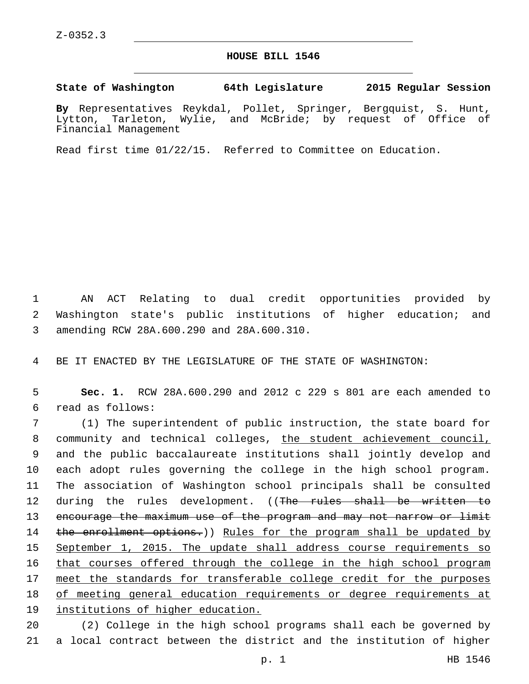## **HOUSE BILL 1546**

## **State of Washington 64th Legislature 2015 Regular Session**

**By** Representatives Reykdal, Pollet, Springer, Bergquist, S. Hunt, Lytton, Tarleton, Wylie, and McBride; by request of Office of Financial Management

Read first time 01/22/15. Referred to Committee on Education.

1 AN ACT Relating to dual credit opportunities provided by 2 Washington state's public institutions of higher education; and 3 amending RCW 28A.600.290 and 28A.600.310.

4 BE IT ENACTED BY THE LEGISLATURE OF THE STATE OF WASHINGTON:

5 **Sec. 1.** RCW 28A.600.290 and 2012 c 229 s 801 are each amended to read as follows:6

7 (1) The superintendent of public instruction, the state board for 8 community and technical colleges, the student achievement council, 9 and the public baccalaureate institutions shall jointly develop and 10 each adopt rules governing the college in the high school program. 11 The association of Washington school principals shall be consulted 12 during the rules development. ((The rules shall be written to 13 encourage the maximum use of the program and may not narrow or limit 14 the enrollment options.)) Rules for the program shall be updated by 15 September 1, 2015. The update shall address course requirements so 16 that courses offered through the college in the high school program 17 meet the standards for transferable college credit for the purposes 18 of meeting general education requirements or degree requirements at 19 institutions of higher education.

20 (2) College in the high school programs shall each be governed by 21 a local contract between the district and the institution of higher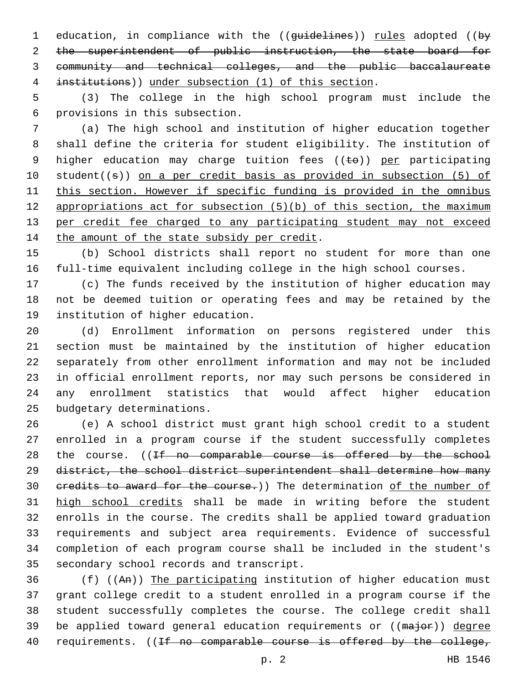1 education, in compliance with the ((guidelines)) rules adopted ((by 2 the superintendent of public instruction, the state board for community and technical colleges, and the public baccalaureate institutions)) under subsection (1) of this section.

 (3) The college in the high school program must include the provisions in this subsection.6

 (a) The high school and institution of higher education together shall define the criteria for student eligibility. The institution of 9 higher education may charge tuition fees  $((\pm e))$  per participating student((s)) on a per credit basis as provided in subsection (5) of this section. However if specific funding is provided in the omnibus appropriations act for subsection (5)(b) of this section, the maximum per credit fee charged to any participating student may not exceed 14 the amount of the state subsidy per credit.

 (b) School districts shall report no student for more than one full-time equivalent including college in the high school courses.

 (c) The funds received by the institution of higher education may not be deemed tuition or operating fees and may be retained by the 19 institution of higher education.

 (d) Enrollment information on persons registered under this section must be maintained by the institution of higher education separately from other enrollment information and may not be included in official enrollment reports, nor may such persons be considered in any enrollment statistics that would affect higher education 25 budgetary determinations.

 (e) A school district must grant high school credit to a student enrolled in a program course if the student successfully completes 28 the course. ((If no comparable course is offered by the school district, the school district superintendent shall determine how many 30 credits to award for the course.)) The determination of the number of high school credits shall be made in writing before the student enrolls in the course. The credits shall be applied toward graduation requirements and subject area requirements. Evidence of successful completion of each program course shall be included in the student's 35 secondary school records and transcript.

 (f) ((An)) The participating institution of higher education must grant college credit to a student enrolled in a program course if the student successfully completes the course. The college credit shall 39 be applied toward general education requirements or ((major)) degree 40 requirements. ((If no comparable course is offered by the college,

p. 2 HB 1546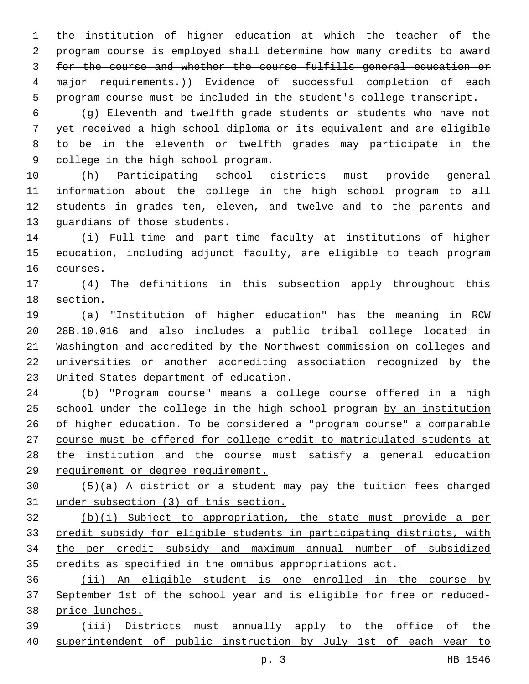the institution of higher education at which the teacher of the program course is employed shall determine how many credits to award for the course and whether the course fulfills general education or 4 major requirements.)) Evidence of successful completion of each program course must be included in the student's college transcript.

 (g) Eleventh and twelfth grade students or students who have not yet received a high school diploma or its equivalent and are eligible to be in the eleventh or twelfth grades may participate in the 9 college in the high school program.

 (h) Participating school districts must provide general information about the college in the high school program to all students in grades ten, eleven, and twelve and to the parents and 13 quardians of those students.

 (i) Full-time and part-time faculty at institutions of higher education, including adjunct faculty, are eligible to teach program 16 courses.

 (4) The definitions in this subsection apply throughout this 18 section.

 (a) "Institution of higher education" has the meaning in RCW 28B.10.016 and also includes a public tribal college located in Washington and accredited by the Northwest commission on colleges and universities or another accrediting association recognized by the 23 United States department of education.

 (b) "Program course" means a college course offered in a high school under the college in the high school program by an institution of higher education. To be considered a "program course" a comparable course must be offered for college credit to matriculated students at the institution and the course must satisfy a general education requirement or degree requirement.

 (5)(a) A district or a student may pay the tuition fees charged under subsection (3) of this section.

 (b)(i) Subject to appropriation, the state must provide a per credit subsidy for eligible students in participating districts, with the per credit subsidy and maximum annual number of subsidized credits as specified in the omnibus appropriations act.

 (ii) An eligible student is one enrolled in the course by September 1st of the school year and is eligible for free or reduced-price lunches.

 (iii) Districts must annually apply to the office of the superintendent of public instruction by July 1st of each year to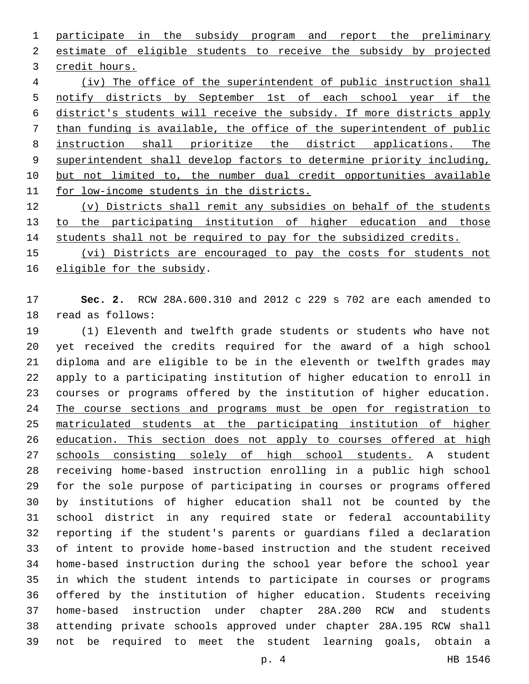participate in the subsidy program and report the preliminary estimate of eligible students to receive the subsidy by projected 3 credit hours. (iv) The office of the superintendent of public instruction shall notify districts by September 1st of each school year if the district's students will receive the subsidy. If more districts apply than funding is available, the office of the superintendent of public instruction shall prioritize the district applications. The superintendent shall develop factors to determine priority including, but not limited to, the number dual credit opportunities available for low-income students in the districts.

 (v) Districts shall remit any subsidies on behalf of the students to the participating institution of higher education and those students shall not be required to pay for the subsidized credits.

 (vi) Districts are encouraged to pay the costs for students not 16 eligible for the subsidy.

 **Sec. 2.** RCW 28A.600.310 and 2012 c 229 s 702 are each amended to 18 read as follows:

 (1) Eleventh and twelfth grade students or students who have not yet received the credits required for the award of a high school diploma and are eligible to be in the eleventh or twelfth grades may apply to a participating institution of higher education to enroll in courses or programs offered by the institution of higher education. 24 The course sections and programs must be open for registration to matriculated students at the participating institution of higher 26 education. This section does not apply to courses offered at high schools consisting solely of high school students. A student receiving home-based instruction enrolling in a public high school for the sole purpose of participating in courses or programs offered by institutions of higher education shall not be counted by the school district in any required state or federal accountability reporting if the student's parents or guardians filed a declaration of intent to provide home-based instruction and the student received home-based instruction during the school year before the school year in which the student intends to participate in courses or programs offered by the institution of higher education. Students receiving home-based instruction under chapter 28A.200 RCW and students attending private schools approved under chapter 28A.195 RCW shall not be required to meet the student learning goals, obtain a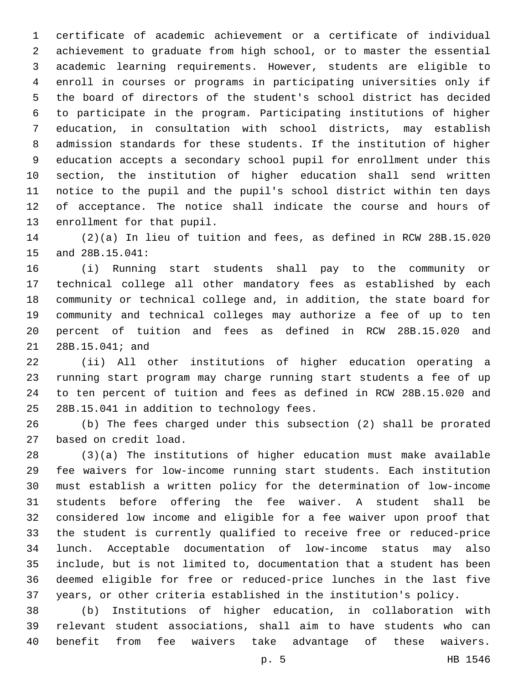certificate of academic achievement or a certificate of individual achievement to graduate from high school, or to master the essential academic learning requirements. However, students are eligible to enroll in courses or programs in participating universities only if the board of directors of the student's school district has decided to participate in the program. Participating institutions of higher education, in consultation with school districts, may establish admission standards for these students. If the institution of higher education accepts a secondary school pupil for enrollment under this section, the institution of higher education shall send written notice to the pupil and the pupil's school district within ten days of acceptance. The notice shall indicate the course and hours of 13 enrollment for that pupil.

 (2)(a) In lieu of tuition and fees, as defined in RCW 28B.15.020 15 and 28B.15.041:

 (i) Running start students shall pay to the community or technical college all other mandatory fees as established by each community or technical college and, in addition, the state board for community and technical colleges may authorize a fee of up to ten percent of tuition and fees as defined in RCW 28B.15.020 and 21 28B.15.041; and

 (ii) All other institutions of higher education operating a running start program may charge running start students a fee of up to ten percent of tuition and fees as defined in RCW 28B.15.020 and 25 28B.15.041 in addition to technology fees.

 (b) The fees charged under this subsection (2) shall be prorated 27 based on credit load.

 (3)(a) The institutions of higher education must make available fee waivers for low-income running start students. Each institution must establish a written policy for the determination of low-income students before offering the fee waiver. A student shall be considered low income and eligible for a fee waiver upon proof that the student is currently qualified to receive free or reduced-price lunch. Acceptable documentation of low-income status may also include, but is not limited to, documentation that a student has been deemed eligible for free or reduced-price lunches in the last five years, or other criteria established in the institution's policy.

 (b) Institutions of higher education, in collaboration with relevant student associations, shall aim to have students who can benefit from fee waivers take advantage of these waivers.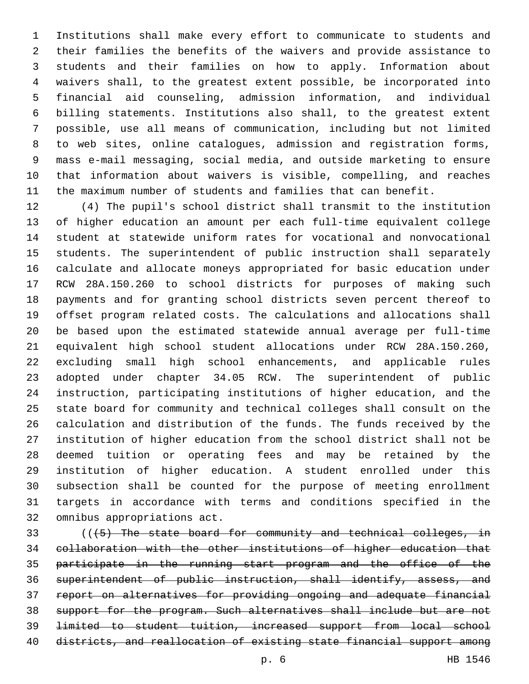Institutions shall make every effort to communicate to students and their families the benefits of the waivers and provide assistance to students and their families on how to apply. Information about waivers shall, to the greatest extent possible, be incorporated into financial aid counseling, admission information, and individual billing statements. Institutions also shall, to the greatest extent possible, use all means of communication, including but not limited to web sites, online catalogues, admission and registration forms, mass e-mail messaging, social media, and outside marketing to ensure that information about waivers is visible, compelling, and reaches the maximum number of students and families that can benefit.

 (4) The pupil's school district shall transmit to the institution of higher education an amount per each full-time equivalent college student at statewide uniform rates for vocational and nonvocational students. The superintendent of public instruction shall separately calculate and allocate moneys appropriated for basic education under RCW 28A.150.260 to school districts for purposes of making such payments and for granting school districts seven percent thereof to offset program related costs. The calculations and allocations shall be based upon the estimated statewide annual average per full-time equivalent high school student allocations under RCW 28A.150.260, excluding small high school enhancements, and applicable rules adopted under chapter 34.05 RCW. The superintendent of public instruction, participating institutions of higher education, and the state board for community and technical colleges shall consult on the calculation and distribution of the funds. The funds received by the institution of higher education from the school district shall not be deemed tuition or operating fees and may be retained by the institution of higher education. A student enrolled under this subsection shall be counted for the purpose of meeting enrollment targets in accordance with terms and conditions specified in the 32 omnibus appropriations act.

 (((5) The state board for community and technical colleges, in collaboration with the other institutions of higher education that participate in the running start program and the office of the superintendent of public instruction, shall identify, assess, and report on alternatives for providing ongoing and adequate financial support for the program. Such alternatives shall include but are not limited to student tuition, increased support from local school districts, and reallocation of existing state financial support among